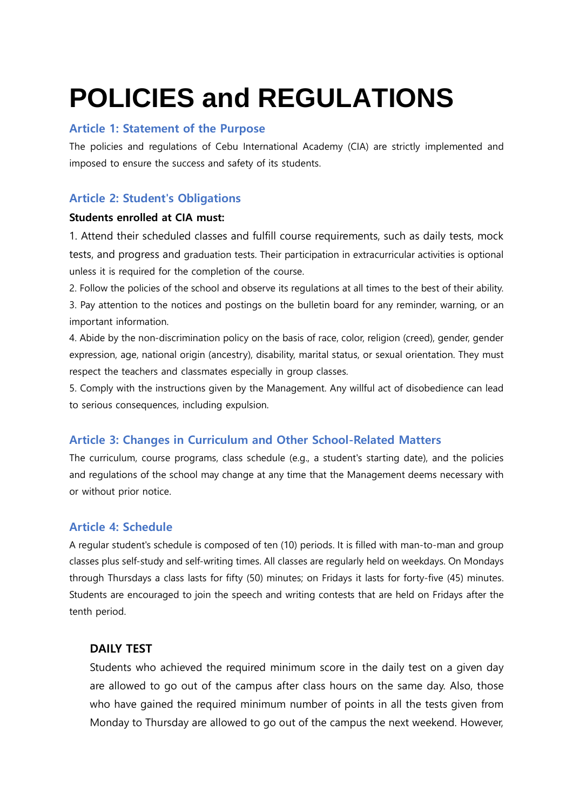# **POLICIES and REGULATIONS**

## **Article 1: Statement of the Purpose**

The policies and regulations of Cebu International Academy (CIA) are strictly implemented and imposed to ensure the success and safety of its students.

# **Article 2: Student's Obligations**

## **Students enrolled at CIA must:**

1. Attend their scheduled classes and fulfill course requirements, such as daily tests, mock tests, and progress and graduation tests. Their participation in extracurricular activities is optional unless it is required for the completion of the course.

2. Follow the policies of the school and observe its regulations at all times to the best of their ability. 3. Pay attention to the notices and postings on the bulletin board for any reminder, warning, or an important information.

4. Abide by the non-discrimination policy on the basis of race, color, religion (creed), gender, gender expression, age, national origin (ancestry), disability, marital status, or sexual orientation. They must respect the teachers and classmates especially in group classes.

5. Comply with the instructions given by the Management. Any willful act of disobedience can lead to serious consequences, including expulsion.

# **Article 3: Changes in Curriculum and Other School-Related Matters**

The curriculum, course programs, class schedule (e.g., a student's starting date), and the policies and regulations of the school may change at any time that the Management deems necessary with or without prior notice.

# **Article 4: Schedule**

A regular student's schedule is composed of ten (10) periods. It is filled with man-to-man and group classes plus self-study and self-writing times. All classes are regularly held on weekdays. On Mondays through Thursdays a class lasts for fifty (50) minutes; on Fridays it lasts for forty-five (45) minutes. Students are encouraged to join the speech and writing contests that are held on Fridays after the tenth period.

## **DAILY TEST**

Students who achieved the required minimum score in the daily test on a given day are allowed to go out of the campus after class hours on the same day. Also, those who have gained the required minimum number of points in all the tests given from Monday to Thursday are allowed to go out of the campus the next weekend. However,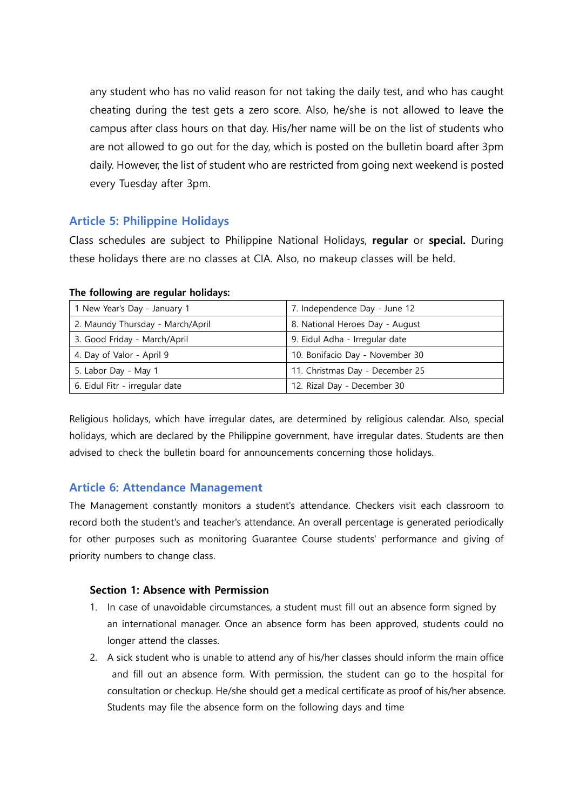any student who has no valid reason for not taking the daily test, and who has caught cheating during the test gets a zero score. Also, he/she is not allowed to leave the campus after class hours on that day. His/her name will be on the list of students who are not allowed to go out for the day, which is posted on the bulletin board after 3pm daily. However, the list of student who are restricted from going next weekend is posted every Tuesday after 3pm.

# **Article 5: Philippine Holidays**

Class schedules are subject to Philippine National Holidays, **regular** or **special.** During these holidays there are no classes at CIA. Also, no makeup classes will be held.

| 1 New Year's Day - January 1     | 7. Independence Day - June 12   |
|----------------------------------|---------------------------------|
| 2. Maundy Thursday - March/April | 8. National Heroes Day - August |
| 3. Good Friday - March/April     | 9. Eidul Adha - Irregular date  |
| 4. Day of Valor - April 9        | 10. Bonifacio Day - November 30 |
| 5. Labor Day - May 1             | 11. Christmas Day - December 25 |
| 6. Eidul Fitr - irregular date   | 12. Rizal Day - December 30     |

#### **The following are regular holidays:**

Religious holidays, which have irregular dates, are determined by religious calendar. Also, special holidays, which are declared by the Philippine government, have irregular dates. Students are then advised to check the bulletin board for announcements concerning those holidays.

# **Article 6: Attendance Management**

The Management constantly monitors a student's attendance. Checkers visit each classroom to record both the student's and teacher's attendance. An overall percentage is generated periodically for other purposes such as monitoring Guarantee Course students' performance and giving of priority numbers to change class.

## **Section 1: Absence with Permission**

- 1. In case of unavoidable circumstances, a student must fill out an absence form signed by an international manager. Once an absence form has been approved, students could no longer attend the classes.
- 2. A sick student who is unable to attend any of his/her classes should inform the main office and fill out an absence form. With permission, the student can go to the hospital for consultation or checkup. He/she should get a medical certificate as proof of his/her absence. Students may file the absence form on the following days and time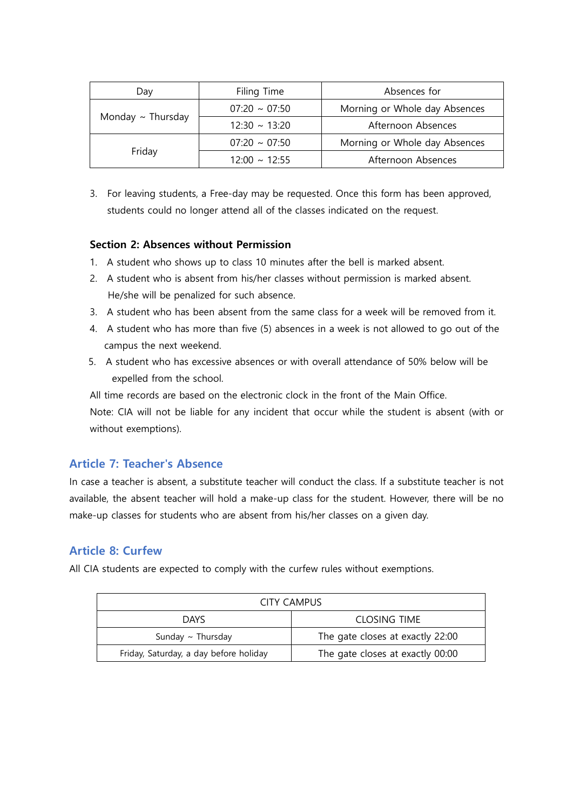| Filing Time<br>Day     |                                                     | Absences for                  |  |
|------------------------|-----------------------------------------------------|-------------------------------|--|
|                        | Morning or Whole day Absences<br>$07:20 \sim 07:50$ |                               |  |
| Monday $\sim$ Thursday | $12:30 \sim 13:20$                                  | Afternoon Absences            |  |
|                        | $07:20 \sim 07:50$                                  | Morning or Whole day Absences |  |
| Friday                 | $12:00 \approx 12:55$                               | Afternoon Absences            |  |

3. For leaving students, a Free-day may be requested. Once this form has been approved, students could no longer attend all of the classes indicated on the request.

## **Section 2: Absences without Permission**

- 1. A student who shows up to class 10 minutes after the bell is marked absent.
- 2. A student who is absent from his/her classes without permission is marked absent. He/she will be penalized for such absence.
- 3. A student who has been absent from the same class for a week will be removed from it.
- 4. A student who has more than five (5) absences in a week is not allowed to go out of the campus the next weekend.
- 5. A student who has excessive absences or with overall attendance of 50% below will be expelled from the school.

All time records are based on the electronic clock in the front of the Main Office.

Note: CIA will not be liable for any incident that occur while the student is absent (with or without exemptions).

# **Article 7: Teacher's Absence**

In case a teacher is absent, a substitute teacher will conduct the class. If a substitute teacher is not available, the absent teacher will hold a make-up class for the student. However, there will be no make-up classes for students who are absent from his/her classes on a given day.

# **Article 8: Curfew**

All CIA students are expected to comply with the curfew rules without exemptions.

| CITY CAMPUS                            |                                  |  |  |
|----------------------------------------|----------------------------------|--|--|
| <b>DAYS</b>                            | CLOSING TIME                     |  |  |
| Sunday $\sim$ Thursday                 | The gate closes at exactly 22:00 |  |  |
| Friday, Saturday, a day before holiday | The gate closes at exactly 00:00 |  |  |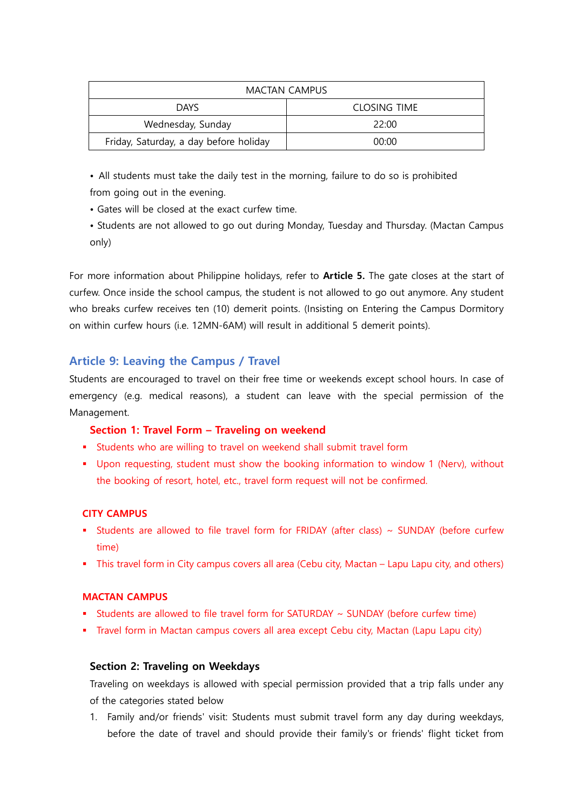| <b>MACTAN CAMPUS</b>                   |                     |  |  |
|----------------------------------------|---------------------|--|--|
| <b>DAYS</b>                            | <b>CLOSING TIME</b> |  |  |
| Wednesday, Sunday                      | 22:00               |  |  |
| Friday, Saturday, a day before holiday | 00:00               |  |  |

• All students must take the daily test in the morning, failure to do so is prohibited from going out in the evening.

- Gates will be closed at the exact curfew time.
- Students are not allowed to go out during Monday, Tuesday and Thursday. (Mactan Campus only)

For more information about Philippine holidays, refer to **Article 5.** The gate closes at the start of curfew. Once inside the school campus, the student is not allowed to go out anymore. Any student who breaks curfew receives ten (10) demerit points. (Insisting on Entering the Campus Dormitory on within curfew hours (i.e. 12MN-6AM) will result in additional 5 demerit points).

# **Article 9: Leaving the Campus / Travel**

Students are encouraged to travel on their free time or weekends except school hours. In case of emergency (e.g. medical reasons), a student can leave with the special permission of the Management.

## **Section 1: Travel Form – Traveling on weekend**

- Students who are willing to travel on weekend shall submit travel form
- Upon requesting, student must show the booking information to window 1 (Nerv), without the booking of resort, hotel, etc., travel form request will not be confirmed.

## **CITY CAMPUS**

- Students are allowed to file travel form for FRIDAY (after class)  $\sim$  SUNDAY (before curfew time)
- This travel form in City campus covers all area (Cebu city, Mactan Lapu Lapu city, and others)

## **MACTAN CAMPUS**

- Students are allowed to file travel form for SATURDAY  $\sim$  SUNDAY (before curfew time)
- Travel form in Mactan campus covers all area except Cebu city, Mactan (Lapu Lapu city)

# **Section 2: Traveling on Weekdays**

Traveling on weekdays is allowed with special permission provided that a trip falls under any of the categories stated below

1. Family and/or friends' visit: Students must submit travel form any day during weekdays, before the date of travel and should provide their family's or friends' flight ticket from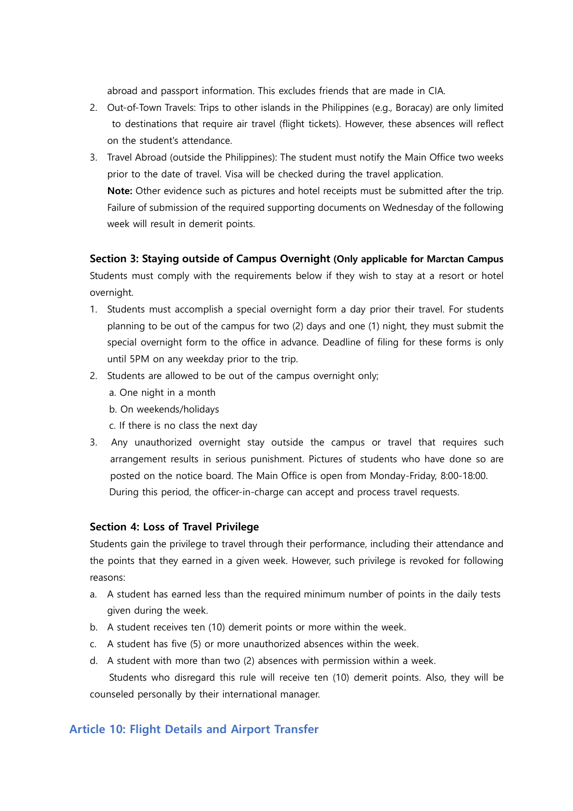abroad and passport information. This excludes friends that are made in CIA.

- 2. Out-of-Town Travels: Trips to other islands in the Philippines (e.g., Boracay) are only limited to destinations that require air travel (flight tickets). However, these absences will reflect on the student's attendance.
- 3. Travel Abroad (outside the Philippines): The student must notify the Main Office two weeks prior to the date of travel. Visa will be checked during the travel application. **Note:** Other evidence such as pictures and hotel receipts must be submitted after the trip. Failure of submission of the required supporting documents on Wednesday of the following week will result in demerit points.

## **Section 3: Staying outside of Campus Overnight (Only applicable for Marctan Campus**

Students must comply with the requirements below if they wish to stay at a resort or hotel overnight.

- 1. Students must accomplish a special overnight form a day prior their travel. For students planning to be out of the campus for two (2) days and one (1) night, they must submit the special overnight form to the office in advance. Deadline of filing for these forms is only until 5PM on any weekday prior to the trip.
- 2. Students are allowed to be out of the campus overnight only;
	- a. One night in a month
	- b. On weekends/holidays
	- c. If there is no class the next day
- 3. Any unauthorized overnight stay outside the campus or travel that requires such arrangement results in serious punishment. Pictures of students who have done so are posted on the notice board. The Main Office is open from Monday-Friday, 8:00-18:00. During this period, the officer-in-charge can accept and process travel requests.

## **Section 4: Loss of Travel Privilege**

Students gain the privilege to travel through their performance, including their attendance and the points that they earned in a given week. However, such privilege is revoked for following reasons:

- a. A student has earned less than the required minimum number of points in the daily tests given during the week.
- b. A student receives ten (10) demerit points or more within the week.
- c. A student has five (5) or more unauthorized absences within the week.
- d. A student with more than two (2) absences with permission within a week.

Students who disregard this rule will receive ten (10) demerit points. Also, they will be counseled personally by their international manager.

# **Article 10: Flight Details and Airport Transfer**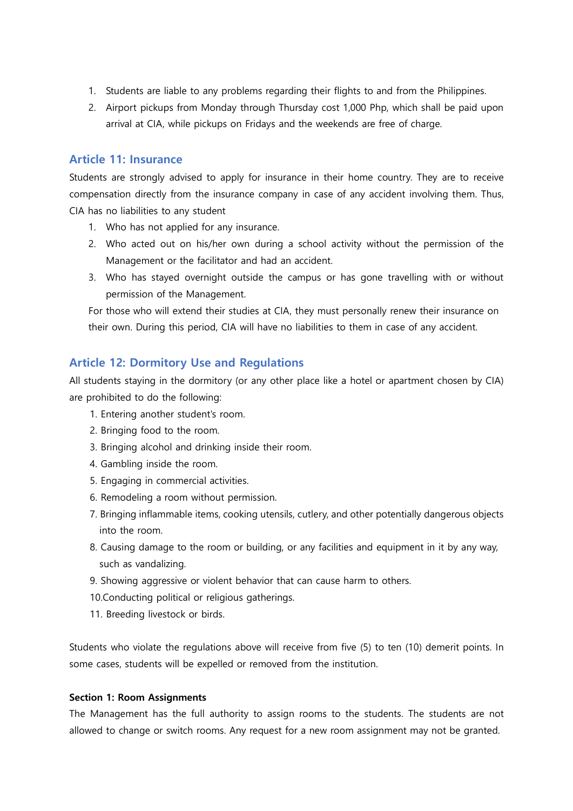- 1. Students are liable to any problems regarding their flights to and from the Philippines.
- 2. Airport pickups from Monday through Thursday cost 1,000 Php, which shall be paid upon arrival at CIA, while pickups on Fridays and the weekends are free of charge.

## **Article 11: Insurance**

Students are strongly advised to apply for insurance in their home country. They are to receive compensation directly from the insurance company in case of any accident involving them. Thus, CIA has no liabilities to any student

- 1. Who has not applied for any insurance.
- 2. Who acted out on his/her own during a school activity without the permission of the Management or the facilitator and had an accident.
- 3. Who has stayed overnight outside the campus or has gone travelling with or without permission of the Management.

For those who will extend their studies at CIA, they must personally renew their insurance on their own. During this period, CIA will have no liabilities to them in case of any accident.

# **Article 12: Dormitory Use and Regulations**

All students staying in the dormitory (or any other place like a hotel or apartment chosen by CIA) are prohibited to do the following:

- 1. Entering another student's room.
- 2. Bringing food to the room.
- 3. Bringing alcohol and drinking inside their room.
- 4. Gambling inside the room.
- 5. Engaging in commercial activities.
- 6. Remodeling a room without permission.
- 7. Bringing inflammable items, cooking utensils, cutlery, and other potentially dangerous objects into the room.
- 8. Causing damage to the room or building, or any facilities and equipment in it by any way, such as vandalizing.
- 9. Showing aggressive or violent behavior that can cause harm to others.
- 10.Conducting political or religious gatherings.
- 11. Breeding livestock or birds.

Students who violate the regulations above will receive from five (5) to ten (10) demerit points. In some cases, students will be expelled or removed from the institution.

#### **Section 1: Room Assignments**

The Management has the full authority to assign rooms to the students. The students are not allowed to change or switch rooms. Any request for a new room assignment may not be granted.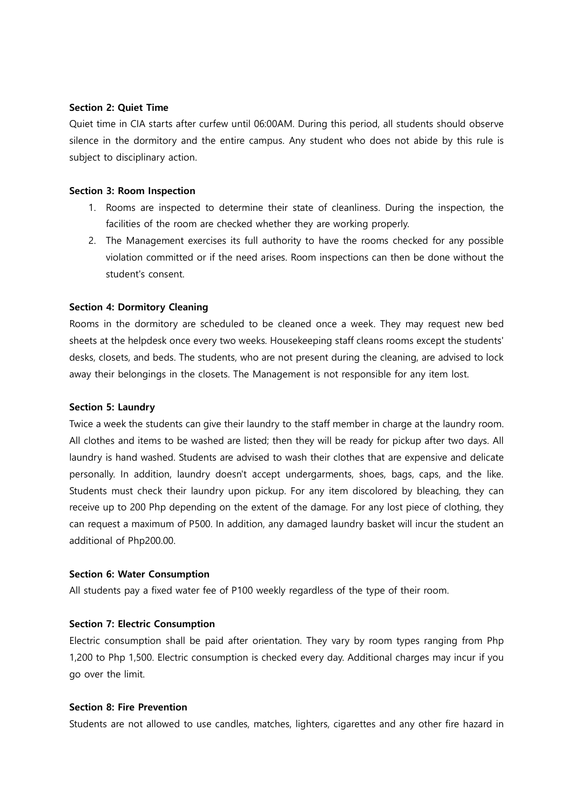#### **Section 2: Quiet Time**

Quiet time in CIA starts after curfew until 06:00AM. During this period, all students should observe silence in the dormitory and the entire campus. Any student who does not abide by this rule is subject to disciplinary action.

#### **Section 3: Room Inspection**

- 1. Rooms are inspected to determine their state of cleanliness. During the inspection, the facilities of the room are checked whether they are working properly.
- 2. The Management exercises its full authority to have the rooms checked for any possible violation committed or if the need arises. Room inspections can then be done without the student's consent.

#### **Section 4: Dormitory Cleaning**

Rooms in the dormitory are scheduled to be cleaned once a week. They may request new bed sheets at the helpdesk once every two weeks. Housekeeping staff cleans rooms except the students' desks, closets, and beds. The students, who are not present during the cleaning, are advised to lock away their belongings in the closets. The Management is not responsible for any item lost.

#### **Section 5: Laundry**

Twice a week the students can give their laundry to the staff member in charge at the laundry room. All clothes and items to be washed are listed; then they will be ready for pickup after two days. All laundry is hand washed. Students are advised to wash their clothes that are expensive and delicate personally. In addition, laundry doesn't accept undergarments, shoes, bags, caps, and the like. Students must check their laundry upon pickup. For any item discolored by bleaching, they can receive up to 200 Php depending on the extent of the damage. For any lost piece of clothing, they can request a maximum of P500. In addition, any damaged laundry basket will incur the student an additional of Php200.00.

#### **Section 6: Water Consumption**

All students pay a fixed water fee of P100 weekly regardless of the type of their room.

#### **Section 7: Electric Consumption**

Electric consumption shall be paid after orientation. They vary by room types ranging from Php 1,200 to Php 1,500. Electric consumption is checked every day. Additional charges may incur if you go over the limit.

#### **Section 8: Fire Prevention**

Students are not allowed to use candles, matches, lighters, cigarettes and any other fire hazard in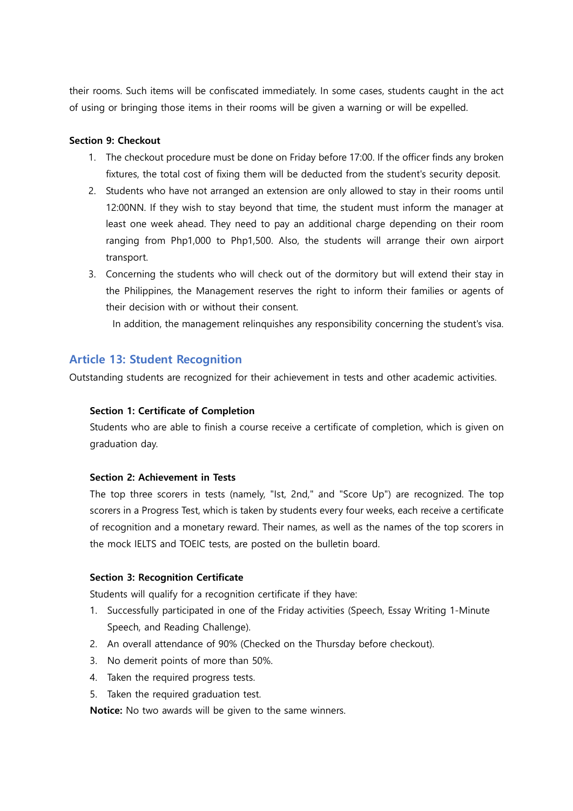their rooms. Such items will be confiscated immediately. In some cases, students caught in the act of using or bringing those items in their rooms will be given a warning or will be expelled.

#### **Section 9: Checkout**

- 1. The checkout procedure must be done on Friday before 17:00. If the officer finds any broken fixtures, the total cost of fixing them will be deducted from the student's security deposit.
- 2. Students who have not arranged an extension are only allowed to stay in their rooms until 12:00NN. If they wish to stay beyond that time, the student must inform the manager at least one week ahead. They need to pay an additional charge depending on their room ranging from Php1,000 to Php1,500. Also, the students will arrange their own airport transport.
- 3. Concerning the students who will check out of the dormitory but will extend their stay in the Philippines, the Management reserves the right to inform their families or agents of their decision with or without their consent.

In addition, the management relinquishes any responsibility concerning the student's visa.

## **Article 13: Student Recognition**

Outstanding students are recognized for their achievement in tests and other academic activities.

#### **Section 1: Certificate of Completion**

Students who are able to finish a course receive a certificate of completion, which is given on graduation day.

#### **Section 2: Achievement in Tests**

The top three scorers in tests (namely, "Ist, 2nd," and "Score Up") are recognized. The top scorers in a Progress Test, which is taken by students every four weeks, each receive a certificate of recognition and a monetary reward. Their names, as well as the names of the top scorers in the mock IELTS and TOEIC tests, are posted on the bulletin board.

#### **Section 3: Recognition Certificate**

Students will qualify for a recognition certificate if they have:

- 1. Successfully participated in one of the Friday activities (Speech, Essay Writing 1-Minute Speech, and Reading Challenge).
- 2. An overall attendance of 90% (Checked on the Thursday before checkout).
- 3. No demerit points of more than 50%.
- 4. Taken the required progress tests.
- 5. Taken the required graduation test.

**Notice:** No two awards will be given to the same winners.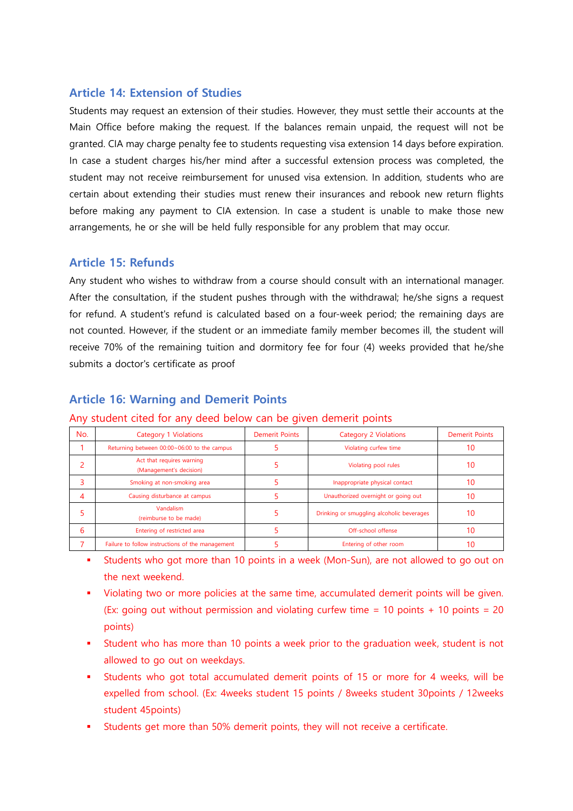# **Article 14: Extension of Studies**

Students may request an extension of their studies. However, they must settle their accounts at the Main Office before making the request. If the balances remain unpaid, the request will not be granted. CIA may charge penalty fee to students requesting visa extension 14 days before expiration. In case a student charges his/her mind after a successful extension process was completed, the student may not receive reimbursement for unused visa extension. In addition, students who are certain about extending their studies must renew their insurances and rebook new return flights before making any payment to CIA extension. In case a student is unable to make those new arrangements, he or she will be held fully responsible for any problem that may occur.

# **Article 15: Refunds**

Any student who wishes to withdraw from a course should consult with an international manager. After the consultation, if the student pushes through with the withdrawal; he/she signs a request for refund. A student's refund is calculated based on a four-week period; the remaining days are not counted. However, if the student or an immediate family member becomes ill, the student will receive 70% of the remaining tuition and dormitory fee for four (4) weeks provided that he/she submits a doctor's certificate as proof

# **Article 16: Warning and Demerit Points**

| No. | Category 1 Violations                                | <b>Demerit Points</b> | <b>Category 2 Violations</b>              | <b>Demerit Points</b> |
|-----|------------------------------------------------------|-----------------------|-------------------------------------------|-----------------------|
|     | Returning between 00:00~06:00 to the campus          |                       | Violating curfew time                     |                       |
|     | Act that requires warning<br>(Management's decision) |                       | Violating pool rules                      | 10                    |
|     | Smoking at non-smoking area                          |                       | Inappropriate physical contact            | 10                    |
| 4   | Causing disturbance at campus                        |                       | Unauthorized overnight or going out       |                       |
|     | Vandalism<br>(reimburse to be made)                  |                       | Drinking or smuggling alcoholic beverages | 10                    |
| 6   | Entering of restricted area                          |                       | Off-school offense                        |                       |
|     | Failure to follow instructions of the management     |                       | Entering of other room                    |                       |

## Any student cited for any deed below can be given demerit points

- Students who got more than 10 points in a week (Mon-Sun), are not allowed to go out on the next weekend.
- Violating two or more policies at the same time, accumulated demerit points will be given. (Ex: going out without permission and violating curfew time  $= 10$  points  $+ 10$  points  $= 20$ points)
- Student who has more than 10 points a week prior to the graduation week, student is not allowed to go out on weekdays.
- Students who got total accumulated demerit points of 15 or more for 4 weeks, will be expelled from school. (Ex: 4weeks student 15 points / 8weeks student 30points / 12weeks student 45points)
- Students get more than 50% demerit points, they will not receive a certificate.